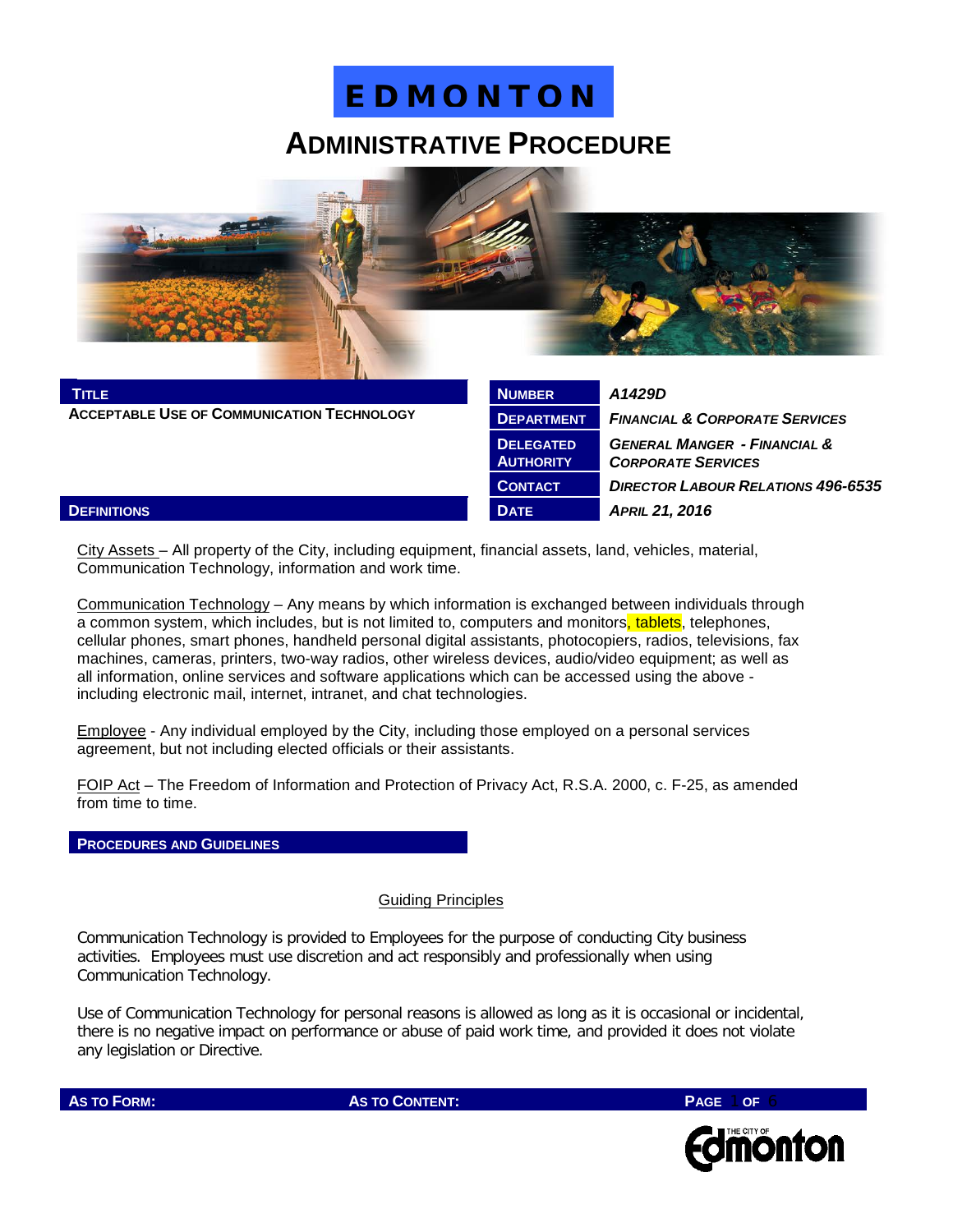### **ADMINISTRATIVE PROCEDURE**



| <b>TITLE</b>                                      | <b>NUMBER</b>                        | A1429D                                                               |
|---------------------------------------------------|--------------------------------------|----------------------------------------------------------------------|
| <b>ACCEPTABLE USE OF COMMUNICATION TECHNOLOGY</b> | <b>DEPARTMENT</b>                    | <b>FINANCIAL &amp; CORPORATE SERVICES</b>                            |
|                                                   | <b>DELEGATED</b><br><b>AUTHORITY</b> | <b>GENERAL MANGER - FINANCIAL &amp;</b><br><b>CORPORATE SERVICES</b> |
|                                                   | <b>CONTACT</b>                       | <b>DIRECTOR LABOUR RELATIONS 496-6535</b>                            |
| <b>DEFINITIONS</b>                                | <b>DATE</b>                          | <b>APRIL 21, 2016</b>                                                |

City Assets – All property of the City, including equipment, financial assets, land, vehicles, material, Communication Technology, information and work time.

Communication Technology – Any means by which information is exchanged between individuals through a common system, which includes, but is not limited to, computers and monitors, tablets, telephones, cellular phones, smart phones, handheld personal digital assistants, photocopiers, radios, televisions, fax machines, cameras, printers, two-way radios, other wireless devices, audio/video equipment; as well as all information, online services and software applications which can be accessed using the above including electronic mail, internet, intranet, and chat technologies.

Employee - Any individual employed by the City, including those employed on a personal services agreement, but not including elected officials or their assistants.

FOIP Act – The Freedom of Information and Protection of Privacy Act, R.S.A. 2000, c. F-25, as amended from time to time.

**PROCEDURES AND GUIDELINES**

#### Guiding Principles

Communication Technology is provided to Employees for the purpose of conducting City business activities. Employees must use discretion and act responsibly and professionally when using Communication Technology.

Use of Communication Technology for personal reasons is allowed as long as it is occasional or incidental, there is no negative impact on performance or abuse of paid work time, and provided it does not violate any legislation or Directive.



**AS TO FORM: AS TO CONTENT: PAGE** 1 **OF** 6

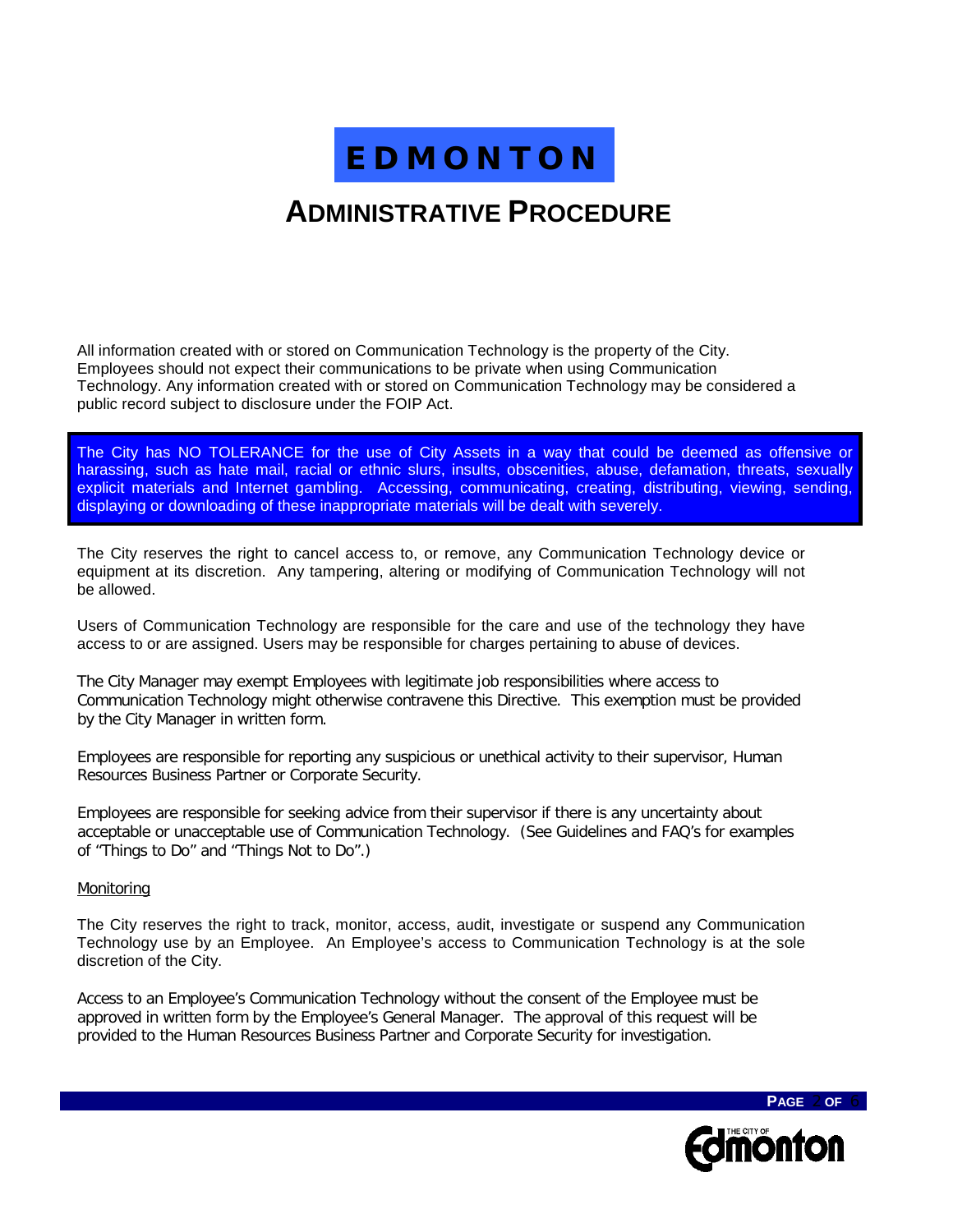## **ADMINISTRATIVE PROCEDURE**

All information created with or stored on Communication Technology is the property of the City. Employees should not expect their communications to be private when using Communication Technology. Any information created with or stored on Communication Technology may be considered a public record subject to disclosure under the FOIP Act.

The City has NO TOLERANCE for the use of City Assets in a way that could be deemed as offensive or harassing, such as hate mail, racial or ethnic slurs, insults, obscenities, abuse, defamation, threats, sexually explicit materials and Internet gambling. Accessing, communicating, creating, distributing, viewing, sending, displaying or downloading of these inappropriate materials will be dealt with severely.

The City reserves the right to cancel access to, or remove, any Communication Technology device or equipment at its discretion. Any tampering, altering or modifying of Communication Technology will not be allowed.

Users of Communication Technology are responsible for the care and use of the technology they have access to or are assigned. Users may be responsible for charges pertaining to abuse of devices.

The City Manager may exempt Employees with legitimate job responsibilities where access to Communication Technology might otherwise contravene this Directive. This exemption must be provided by the City Manager in written form.

Employees are responsible for reporting any suspicious or unethical activity to their supervisor, Human Resources Business Partner or Corporate Security.

Employees are responsible for seeking advice from their supervisor if there is any uncertainty about acceptable or unacceptable use of Communication Technology. (See Guidelines and FAQ's for examples of "Things to Do" and "Things Not to Do".)

#### Monitoring

The City reserves the right to track, monitor, access, audit, investigate or suspend any Communication Technology use by an Employee. An Employee's access to Communication Technology is at the sole discretion of the City.

Access to an Employee's Communication Technology without the consent of the Employee must be approved in written form by the Employee's General Manager. The approval of this request will be provided to the Human Resources Business Partner and Corporate Security for investigation.

**dimonton** 

**PAGE** 2 **OF** 6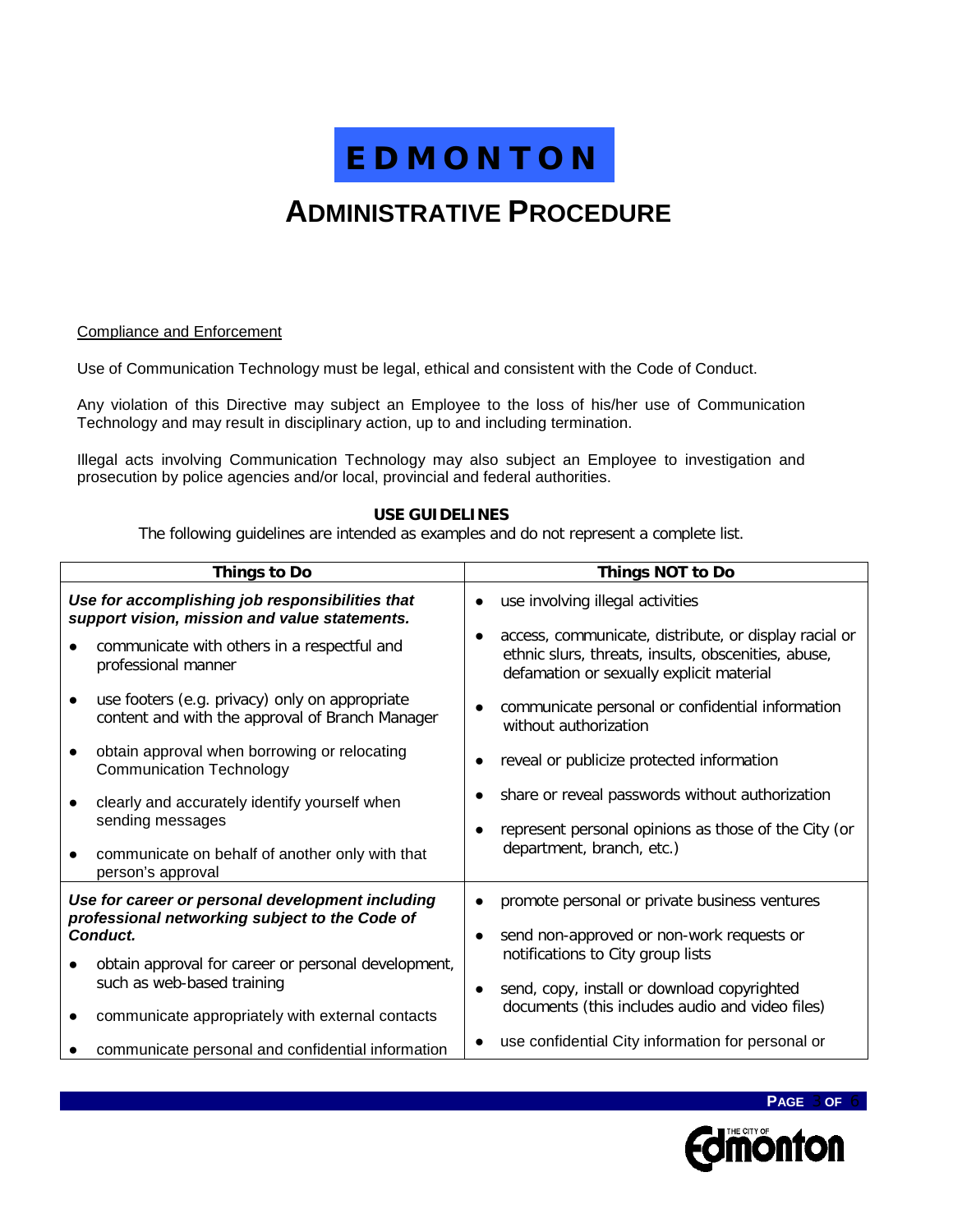## **ADMINISTRATIVE PROCEDURE**

#### Compliance and Enforcement

Use of Communication Technology must be legal, ethical and consistent with the Code of Conduct.

Any violation of this Directive may subject an Employee to the loss of his/her use of Communication Technology and may result in disciplinary action, up to and including termination.

Illegal acts involving Communication Technology may also subject an Employee to investigation and prosecution by police agencies and/or local, provincial and federal authorities.

#### **USE GUIDELINES**

The following guidelines are intended as examples and do not represent a complete list.

| <b>Things to Do</b>                                                                               | <b>Things NOT to Do</b>                                                                                                                                  |  |
|---------------------------------------------------------------------------------------------------|----------------------------------------------------------------------------------------------------------------------------------------------------------|--|
| Use for accomplishing job responsibilities that<br>support vision, mission and value statements.  | use involving illegal activities                                                                                                                         |  |
| communicate with others in a respectful and<br>professional manner                                | access, communicate, distribute, or display racial or<br>ethnic slurs, threats, insults, obscenities, abuse,<br>defamation or sexually explicit material |  |
| use footers (e.g. privacy) only on appropriate<br>content and with the approval of Branch Manager | communicate personal or confidential information<br>without authorization                                                                                |  |
| obtain approval when borrowing or relocating<br><b>Communication Technology</b>                   | reveal or publicize protected information                                                                                                                |  |
| clearly and accurately identify yourself when<br>sending messages                                 | share or reveal passwords without authorization<br>represent personal opinions as those of the City (or                                                  |  |
| communicate on behalf of another only with that<br>person's approval                              | department, branch, etc.)                                                                                                                                |  |
| Use for career or personal development including                                                  | promote personal or private business ventures                                                                                                            |  |
| professional networking subject to the Code of<br>Conduct.                                        | send non-approved or non-work requests or<br>notifications to City group lists                                                                           |  |
| obtain approval for career or personal development,<br>such as web-based training                 | send, copy, install or download copyrighted<br>$\bullet$                                                                                                 |  |
| communicate appropriately with external contacts                                                  | documents (this includes audio and video files)                                                                                                          |  |
| communicate personal and confidential information                                                 | use confidential City information for personal or                                                                                                        |  |

**Edmonton** 

**PAGE** 3 **OF** 6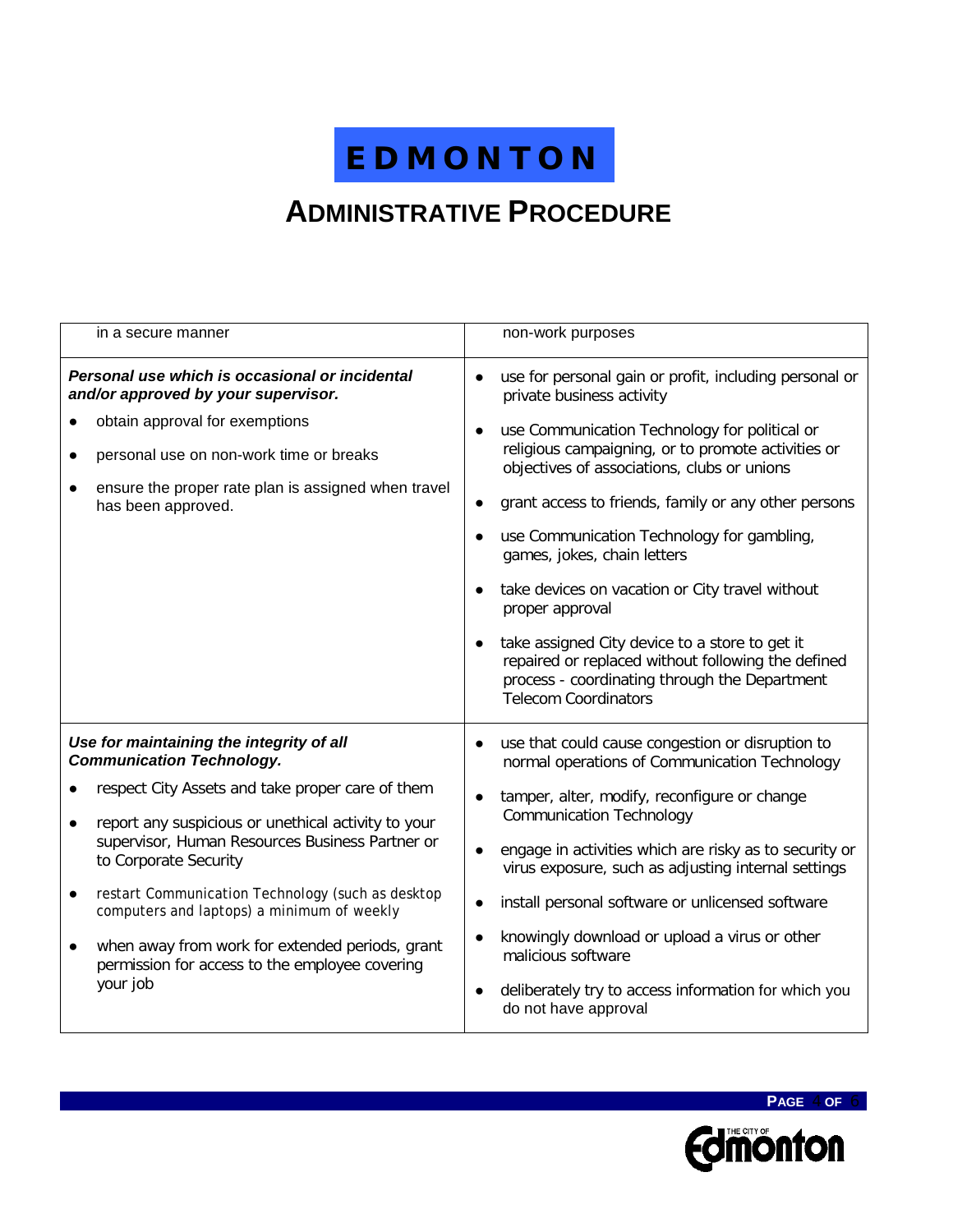## **ADMINISTRATIVE PROCEDURE**

| in a secure manner                                                                                            | non-work purposes                                                                                                                                                                                 |  |
|---------------------------------------------------------------------------------------------------------------|---------------------------------------------------------------------------------------------------------------------------------------------------------------------------------------------------|--|
| Personal use which is occasional or incidental<br>and/or approved by your supervisor.                         | use for personal gain or profit, including personal or<br>$\bullet$<br>private business activity                                                                                                  |  |
| obtain approval for exemptions                                                                                | use Communication Technology for political or<br>$\bullet$                                                                                                                                        |  |
| personal use on non-work time or breaks                                                                       | religious campaigning, or to promote activities or<br>objectives of associations, clubs or unions                                                                                                 |  |
| ensure the proper rate plan is assigned when travel<br>has been approved.                                     | grant access to friends, family or any other persons<br>$\bullet$                                                                                                                                 |  |
|                                                                                                               | use Communication Technology for gambling,<br>$\bullet$<br>games, jokes, chain letters                                                                                                            |  |
|                                                                                                               | take devices on vacation or City travel without<br>proper approval                                                                                                                                |  |
|                                                                                                               | take assigned City device to a store to get it<br>$\bullet$<br>repaired or replaced without following the defined<br>process - coordinating through the Department<br><b>Telecom Coordinators</b> |  |
| Use for maintaining the integrity of all<br><b>Communication Technology.</b>                                  | use that could cause congestion or disruption to<br>$\bullet$<br>normal operations of Communication Technology                                                                                    |  |
| respect City Assets and take proper care of them                                                              | tamper, alter, modify, reconfigure or change<br>$\bullet$                                                                                                                                         |  |
| report any suspicious or unethical activity to your<br>supervisor, Human Resources Business Partner or        | <b>Communication Technology</b>                                                                                                                                                                   |  |
| to Corporate Security                                                                                         | engage in activities which are risky as to security or<br>$\bullet$<br>virus exposure, such as adjusting internal settings                                                                        |  |
| restart Communication Technology (such as desktop<br>computers and laptops) a minimum of weekly               | install personal software or unlicensed software<br>$\bullet$                                                                                                                                     |  |
| when away from work for extended periods, grant<br>permission for access to the employee covering<br>your job | knowingly download or upload a virus or other<br>$\bullet$<br>malicious software                                                                                                                  |  |
|                                                                                                               | deliberately try to access information for which you<br>$\bullet$<br>do not have approval                                                                                                         |  |



**PAGE** 4 **OF** 6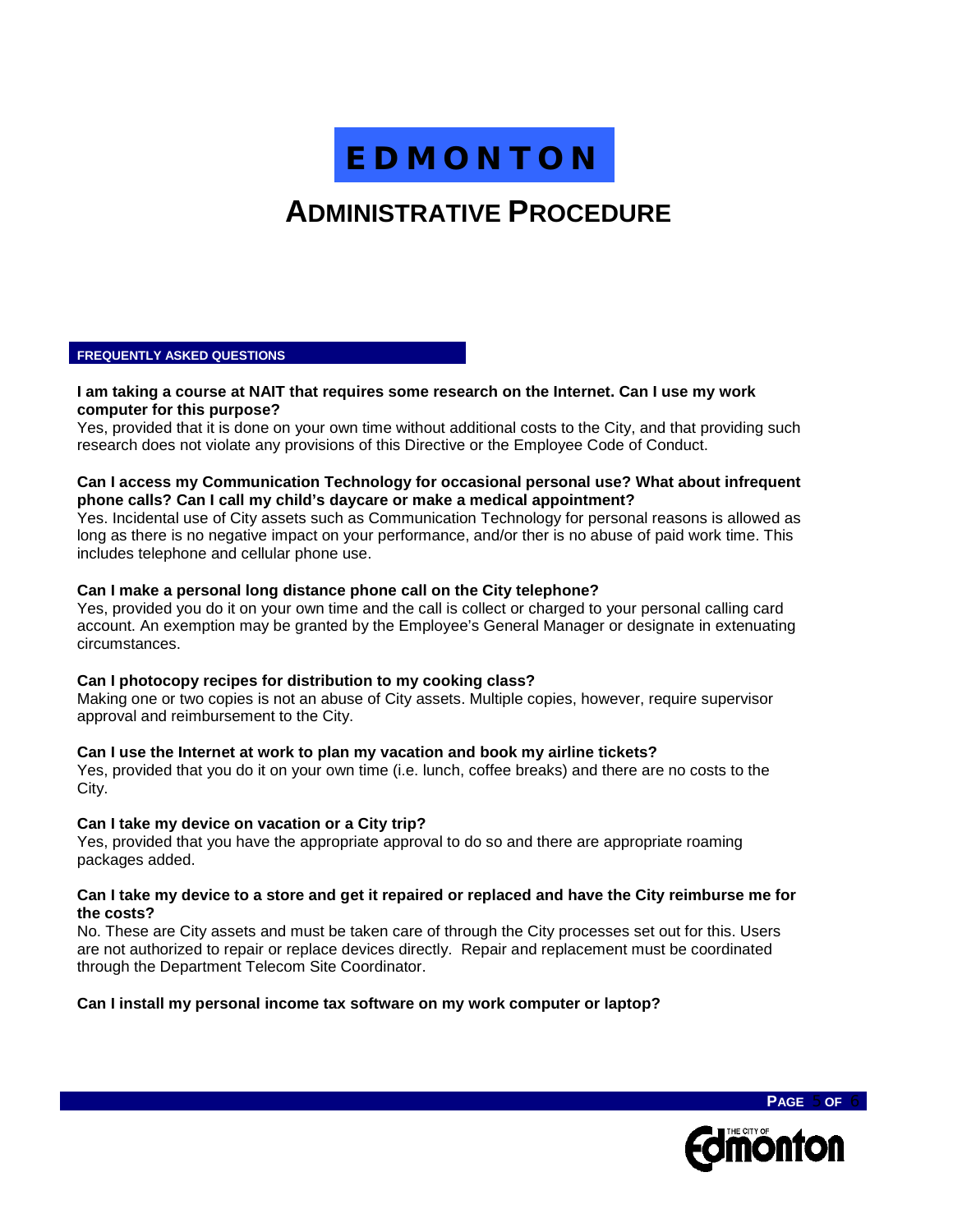## **ADMINISTRATIVE PROCEDURE**

#### **FREQUENTLY ASKED QUESTIONS**

#### **I am taking a course at NAIT that requires some research on the Internet. Can I use my work computer for this purpose?**

Yes, provided that it is done on your own time without additional costs to the City, and that providing such research does not violate any provisions of this Directive or the Employee Code of Conduct.

#### **Can I access my Communication Technology for occasional personal use? What about infrequent phone calls? Can I call my child's daycare or make a medical appointment?**

Yes. Incidental use of City assets such as Communication Technology for personal reasons is allowed as long as there is no negative impact on your performance, and/or ther is no abuse of paid work time. This includes telephone and cellular phone use.

#### **Can I make a personal long distance phone call on the City telephone?**

Yes, provided you do it on your own time and the call is collect or charged to your personal calling card account. An exemption may be granted by the Employee's General Manager or designate in extenuating circumstances.

#### **Can I photocopy recipes for distribution to my cooking class?**

Making one or two copies is not an abuse of City assets. Multiple copies, however, require supervisor approval and reimbursement to the City.

#### **Can I use the Internet at work to plan my vacation and book my airline tickets?**

Yes, provided that you do it on your own time (i.e. lunch, coffee breaks) and there are no costs to the City.

#### **Can I take my device on vacation or a City trip?**

Yes, provided that you have the appropriate approval to do so and there are appropriate roaming packages added.

#### **Can I take my device to a store and get it repaired or replaced and have the City reimburse me for the costs?**

No. These are City assets and must be taken care of through the City processes set out for this. Users are not authorized to repair or replace devices directly. Repair and replacement must be coordinated through the Department Telecom Site Coordinator.

#### **Can I install my personal income tax software on my work computer or laptop?**